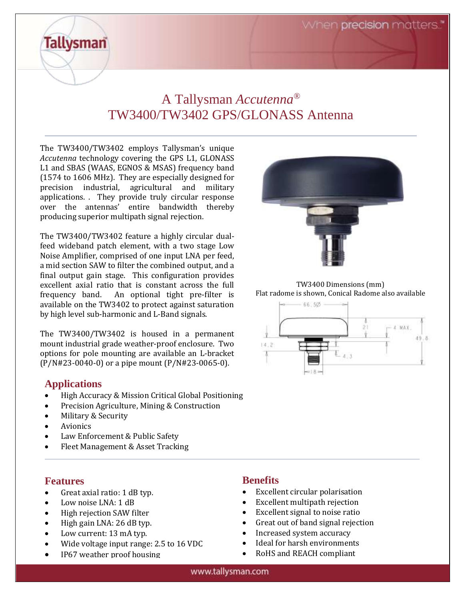# A Tallysman *Accutenna®* TW3400/TW3402 GPS/GLONASS Antenna

The TW3400/TW3402 employs Tallysman's unique *Accutenna* technology covering the GPS L1, GLONASS L1 and SBAS (WAAS, EGNOS & MSAS) frequency band (1574 to 1606 MHz). They are especially designed for precision industrial, agricultural and military applications. . They provide truly circular response over the antennas' entire bandwidth thereby producing superior multipath signal rejection.

The TW3400/TW3402 feature a highly circular dualfeed wideband patch element, with a two stage Low Noise Amplifier, comprised of one input LNA per feed, a mid section SAW to filter the combined output, and a final output gain stage. This configuration provides excellent axial ratio that is constant across the full frequency band. An optional tight pre-filter is available on the TW3402 to protect against saturation by high level sub-harmonic and L-Band signals.

The TW3400/TW3402 is housed in a permanent mount industrial grade weather-proof enclosure. Two options for pole mounting are available an L-bracket (P/N#23-0040-0) or a pipe mount (P/N#23-0065-0).

## **Applications**

**Tallysman** 

- High Accuracy & Mission Critical Global Positioning
- Precision Agriculture, Mining & Construction
- Military & Security
- Avionics
- Law Enforcement & Public Safety
- Fleet Management & Asset Tracking

#### **Features**

- Great axial ratio: 1 dB typ.
- Low noise LNA: 1 dB
- High rejection SAW filter
- High gain LNA: 26 dB typ.
- Low current: 13 mA typ.
- Wide voltage input range: 2.5 to 16 VDC
- IP67 weather proof housing



TW3400 Dimensions (mm) Flat radome is shown, Conical Radome also available



## **Benefits**

- Excellent circular polarisation
- Excellent multipath rejection
- Excellent signal to noise ratio
- Great out of band signal rejection
- Increased system accuracy
- Ideal for harsh environments
- RoHS and REACH compliant